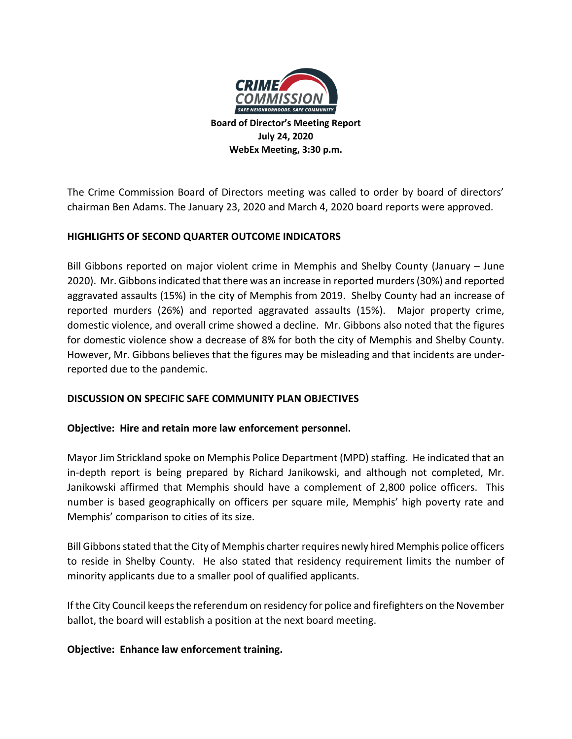

**Board of Director's Meeting Report July 24, 2020 WebEx Meeting, 3:30 p.m.**

The Crime Commission Board of Directors meeting was called to order by board of directors' chairman Ben Adams. The January 23, 2020 and March 4, 2020 board reports were approved.

## **HIGHLIGHTS OF SECOND QUARTER OUTCOME INDICATORS**

Bill Gibbons reported on major violent crime in Memphis and Shelby County (January – June 2020). Mr. Gibbons indicated that there was an increase in reported murders (30%) and reported aggravated assaults (15%) in the city of Memphis from 2019. Shelby County had an increase of reported murders (26%) and reported aggravated assaults (15%). Major property crime, domestic violence, and overall crime showed a decline. Mr. Gibbons also noted that the figures for domestic violence show a decrease of 8% for both the city of Memphis and Shelby County. However, Mr. Gibbons believes that the figures may be misleading and that incidents are underreported due to the pandemic.

### **DISCUSSION ON SPECIFIC SAFE COMMUNITY PLAN OBJECTIVES**

### **Objective: Hire and retain more law enforcement personnel.**

Mayor Jim Strickland spoke on Memphis Police Department (MPD) staffing. He indicated that an in-depth report is being prepared by Richard Janikowski, and although not completed, Mr. Janikowski affirmed that Memphis should have a complement of 2,800 police officers. This number is based geographically on officers per square mile, Memphis' high poverty rate and Memphis' comparison to cities of its size.

Bill Gibbons stated that the City of Memphis charter requires newly hired Memphis police officers to reside in Shelby County. He also stated that residency requirement limits the number of minority applicants due to a smaller pool of qualified applicants.

If the City Council keeps the referendum on residency for police and firefighters on the November ballot, the board will establish a position at the next board meeting.

### **Objective: Enhance law enforcement training.**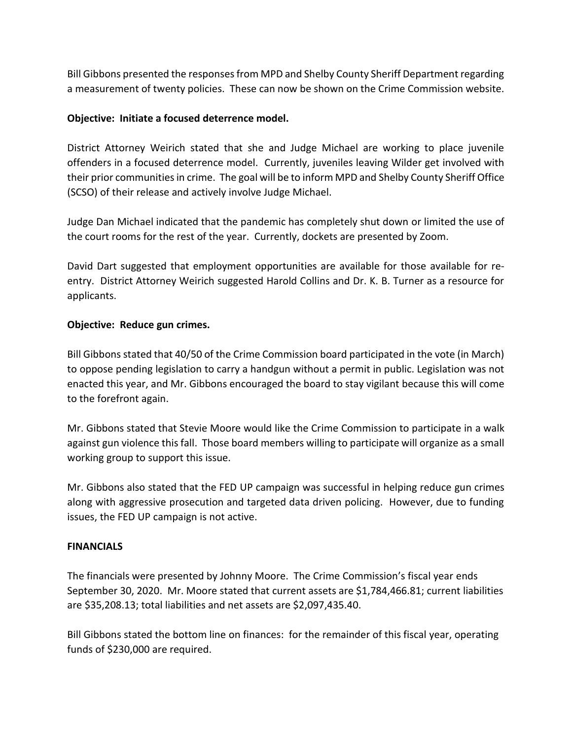Bill Gibbons presented the responses from MPD and Shelby County Sheriff Department regarding a measurement of twenty policies. These can now be shown on the Crime Commission website.

# **Objective: Initiate a focused deterrence model.**

District Attorney Weirich stated that she and Judge Michael are working to place juvenile offenders in a focused deterrence model. Currently, juveniles leaving Wilder get involved with their prior communitiesin crime. The goal will be to inform MPD and Shelby County Sheriff Office (SCSO) of their release and actively involve Judge Michael.

Judge Dan Michael indicated that the pandemic has completely shut down or limited the use of the court rooms for the rest of the year. Currently, dockets are presented by Zoom.

David Dart suggested that employment opportunities are available for those available for reentry. District Attorney Weirich suggested Harold Collins and Dr. K. B. Turner as a resource for applicants.

## **Objective: Reduce gun crimes.**

Bill Gibbons stated that 40/50 of the Crime Commission board participated in the vote (in March) to oppose pending legislation to carry a handgun without a permit in public. Legislation was not enacted this year, and Mr. Gibbons encouraged the board to stay vigilant because this will come to the forefront again.

Mr. Gibbons stated that Stevie Moore would like the Crime Commission to participate in a walk against gun violence this fall. Those board members willing to participate will organize as a small working group to support this issue.

Mr. Gibbons also stated that the FED UP campaign was successful in helping reduce gun crimes along with aggressive prosecution and targeted data driven policing. However, due to funding issues, the FED UP campaign is not active.

## **FINANCIALS**

The financials were presented by Johnny Moore. The Crime Commission's fiscal year ends September 30, 2020. Mr. Moore stated that current assets are \$1,784,466.81; current liabilities are \$35,208.13; total liabilities and net assets are \$2,097,435.40.

Bill Gibbons stated the bottom line on finances: for the remainder of this fiscal year, operating funds of \$230,000 are required.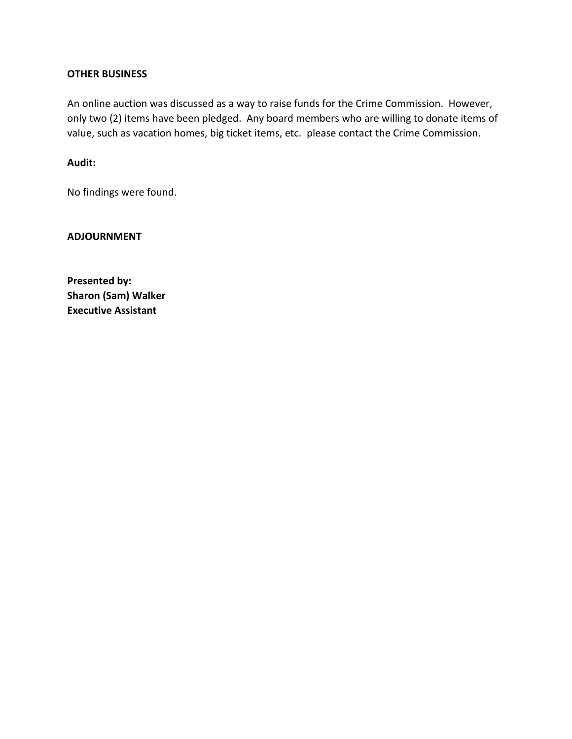### **OTHER BUSINESS**

An online auction was discussed as a way to raise funds for the Crime Commission. However, only two (2) items have been pledged. Any board members who are willing to donate items of value, such as vacation homes, big ticket items, etc. please contact the Crime Commission.

### **Audit:**

No findings were found.

**ADJOURNMENT**

**Presented by: Sharon (Sam) Walker Executive Assistant**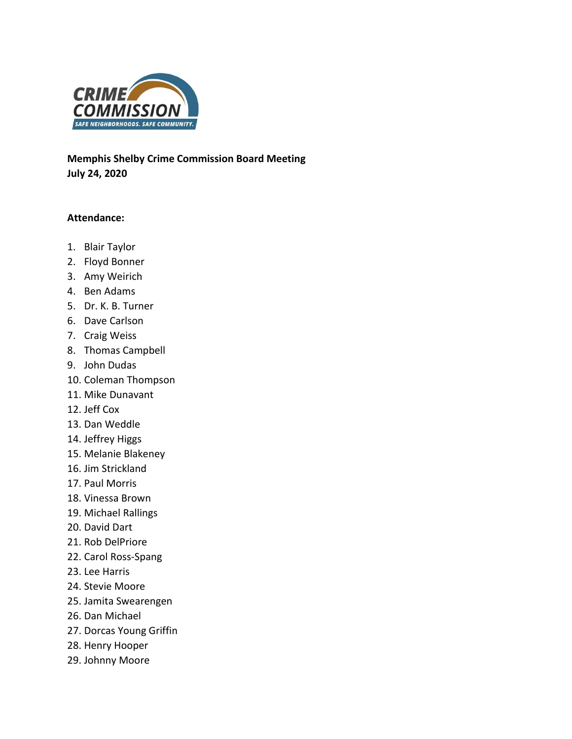

**Memphis Shelby Crime Commission Board Meeting July 24, 2020**

### **Attendance:**

- 1. Blair Taylor
- 2. Floyd Bonner
- 3. Amy Weirich
- 4. Ben Adams
- 5. Dr. K. B. Turner
- 6. Dave Carlson
- 7. Craig Weiss
- 8. Thomas Campbell
- 9. John Dudas
- 10. Coleman Thompson
- 11. Mike Dunavant
- 12. Jeff Cox
- 13. Dan Weddle
- 14. Jeffrey Higgs
- 15. Melanie Blakeney
- 16. Jim Strickland
- 17. Paul Morris
- 18. Vinessa Brown
- 19. Michael Rallings
- 20. David Dart
- 21. Rob DelPriore
- 22. Carol Ross-Spang
- 23. Lee Harris
- 24. Stevie Moore
- 25. Jamita Swearengen
- 26. Dan Michael
- 27. Dorcas Young Griffin
- 28. Henry Hooper
- 29. Johnny Moore